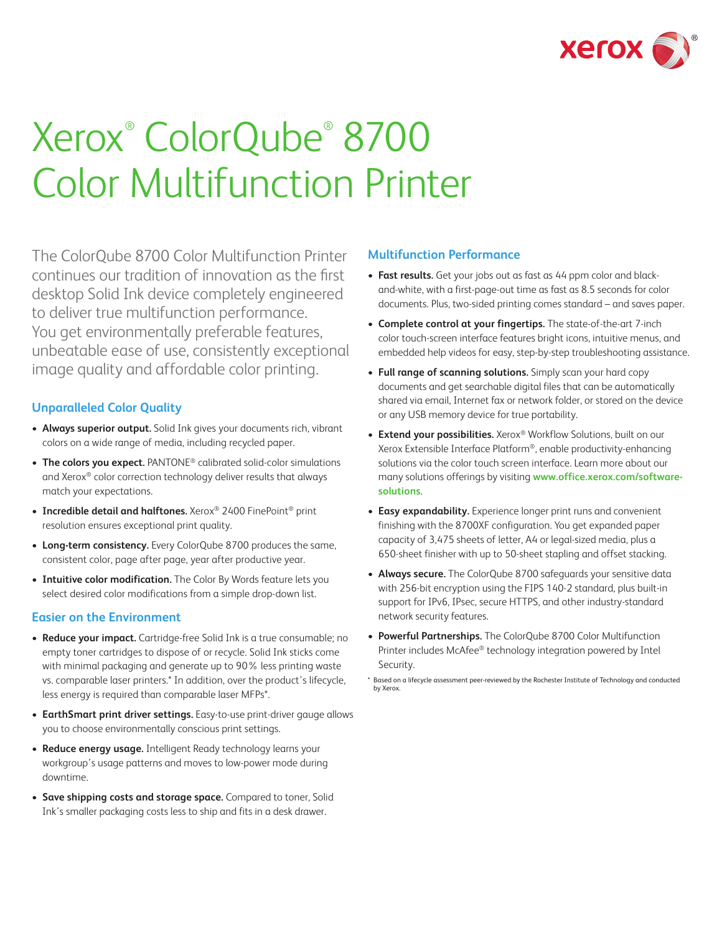

# Xerox® ColorQube® 8700 Color Multifunction Printer

The ColorQube 8700 Color Multifunction Printer continues our tradition of innovation as the first desktop Solid Ink device completely engineered to deliver true multifunction performance. You get environmentally preferable features, unbeatable ease of use, consistently exceptional image quality and affordable color printing.

## **Unparalleled Color Quality**

- Always superior output. Solid Ink gives your documents rich, vibrant colors on a wide range of media, including recycled paper.
- The colors you expect. PANTONE<sup>®</sup> calibrated solid-color simulations and Xerox® color correction technology deliver results that always match your expectations.
- Incredible detail and halftones. Xerox<sup>®</sup> 2400 FinePoint<sup>®</sup> print resolution ensures exceptional print quality.
- Long-term consistency. Every ColorQube 8700 produces the same, consistent color, page after page, year after productive year.
- **Intuitive color modification.** The Color By Words feature lets you select desired color modifications from a simple drop-down list.

## **Easier on the Environment**

- Reduce your impact. Cartridge-free Solid Ink is a true consumable; no empty toner cartridges to dispose of or recycle. Solid Ink sticks come with minimal packaging and generate up to 90% less printing waste vs. comparable laser printers.\* In addition, over the product's lifecycle, less energy is required than comparable laser MFPs\*.
- • **EarthSmart print driver settings.** Easy-to-use print-driver gauge allows you to choose environmentally conscious print settings.
- • **Reduce energy usage.** Intelligent Ready technology learns your workgroup's usage patterns and moves to low-power mode during downtime.
- • **Save shipping costs and storage space.** Compared to toner, Solid Ink's smaller packaging costs less to ship and fits in a desk drawer.

## **Multifunction Performance**

- Fast results. Get your jobs out as fast as 44 ppm color and blackand-white, with a first-page-out time as fast as 8.5 seconds for color documents. Plus, two-sided printing comes standard – and saves paper.
- • **Complete control at your fingertips.** The state-of-the-art 7-inch color touch-screen interface features bright icons, intuitive menus, and embedded help videos for easy, step-by-step troubleshooting assistance.
- • **Full range of scanning solutions.** Simply scan your hard copy documents and get searchable digital files that can be automatically shared via email, Internet fax or network folder, or stored on the device or any USB memory device for true portability.
- **Extend your possibilities.** Xerox® Workflow Solutions, built on our Xerox Extensible Interface Platform®, enable productivity-enhancing solutions via the color touch screen interface. Learn more about our many solutions offerings by visiting **[www.office.xerox.com/software](www.office.xerox.com/software-solutions)[solutions](www.office.xerox.com/software-solutions)**.
- **Easy expandability.** Experience longer print runs and convenient finishing with the 8700XF configuration. You get expanded paper capacity of 3,475 sheets of letter, A4 or legal-sized media, plus a 650-sheet finisher with up to 50-sheet stapling and offset stacking.
- Always secure. The ColorQube 8700 safeguards your sensitive data with 256-bit encryption using the FIPS 140-2 standard, plus built-in support for IPv6, IPsec, secure HTTPS, and other industry-standard network security features.
- • **Powerful Partnerships.** The ColorQube 8700 Color Multifunction Printer includes McAfee® technology integration powered by Intel Security.

<sup>\*</sup> Based on a lifecycle assessment peer-reviewed by the Rochester Institute of Technology and conducted by Xerox.